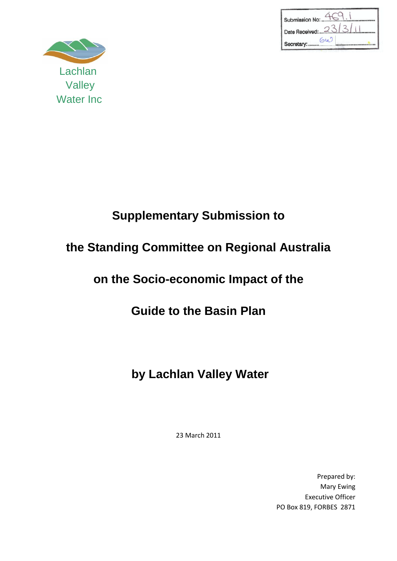| Submission No:   |
|------------------|
| Date Received: 2 |
|                  |



# **Supplementary Submission to**

### **the Standing Committee on Regional Australia**

### **on the Socio-economic Impact of the**

### **Guide to the Basin Plan**

## **by Lachlan Valley Water**

23 March 2011

Prepared by: Mary Ewing Executive Officer PO Box 819, FORBES 2871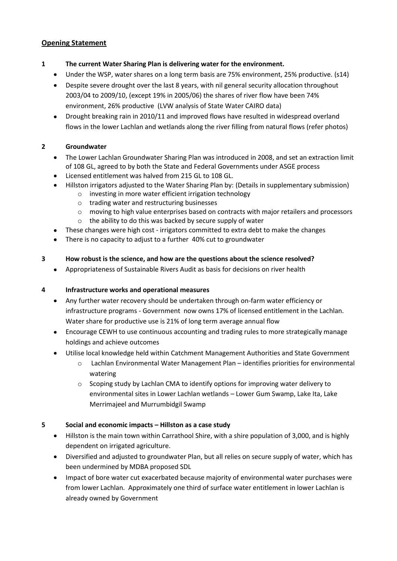#### **Opening Statement**

- **1 The current Water Sharing Plan is delivering water for the environment.**
	- Under the WSP, water shares on a long term basis are 75% environment, 25% productive. (s14)
	- Despite severe drought over the last 8 years, with nil general security allocation throughout 2003/04 to 2009/10, (except 19% in 2005/06) the shares of river flow have been 74% environment, 26% productive (LVW analysis of State Water CAIRO data)
	- Drought breaking rain in 2010/11 and improved flows have resulted in widespread overland flows in the lower Lachlan and wetlands along the river filling from natural flows (refer photos)

#### **2 Groundwater**

- The Lower Lachlan Groundwater Sharing Plan was introduced in 2008, and set an extraction limit of 108 GL, agreed to by both the State and Federal Governments under ASGE process
- Licensed entitlement was halved from 215 GL to 108 GL.
- Hillston irrigators adjusted to the Water Sharing Plan by: (Details in supplementary submission)
	- o investing in more water efficient irrigation technology
		- o trading water and restructuring businesses
		- o moving to high value enterprises based on contracts with major retailers and processors
	- o the ability to do this was backed by secure supply of water
- These changes were high cost irrigators committed to extra debt to make the changes
- There is no capacity to adjust to a further 40% cut to groundwater

#### **3 How robust is the science, and how are the questions about the science resolved?**

Appropriateness of Sustainable Rivers Audit as basis for decisions on river health

#### **4 Infrastructure works and operational measures**

- Any further water recovery should be undertaken through on-farm water efficiency or infrastructure programs - Government now owns 17% of licensed entitlement in the Lachlan. Water share for productive use is 21% of long term average annual flow
- Encourage CEWH to use continuous accounting and trading rules to more strategically manage holdings and achieve outcomes
- Utilise local knowledge held within Catchment Management Authorities and State Government
	- o Lachlan Environmental Water Management Plan identifies priorities for environmental watering
	- o Scoping study by Lachlan CMA to identify options for improving water delivery to environmental sites in Lower Lachlan wetlands – Lower Gum Swamp, Lake Ita, Lake Merrimajeel and Murrumbidgil Swamp

#### **5 Social and economic impacts – Hillston as a case study**

- Hillston is the main town within Carrathool Shire, with a shire population of 3,000, and is highly dependent on irrigated agriculture.
- Diversified and adjusted to groundwater Plan, but all relies on secure supply of water, which has  $\bullet$ been undermined by MDBA proposed SDL
- Impact of bore water cut exacerbated because majority of environmental water purchases were from lower Lachlan. Approximately one third of surface water entitlement in lower Lachlan is already owned by Government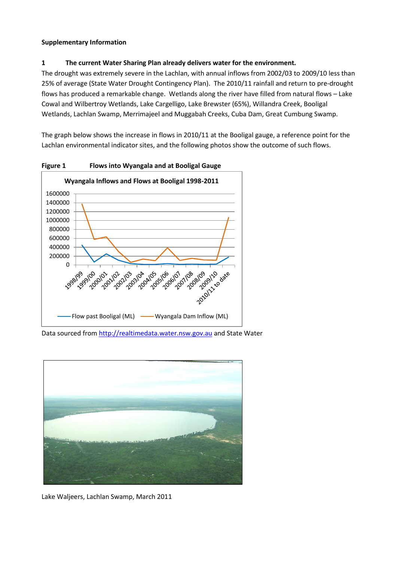#### **Supplementary Information**

#### **1 The current Water Sharing Plan already delivers water for the environment.**

The drought was extremely severe in the Lachlan, with annual inflows from 2002/03 to 2009/10 less than 25% of average (State Water Drought Contingency Plan). The 2010/11 rainfall and return to pre-drought flows has produced a remarkable change. Wetlands along the river have filled from natural flows – Lake Cowal and Wilbertroy Wetlands, Lake Cargelligo, Lake Brewster (65%), Willandra Creek, Booligal Wetlands, Lachlan Swamp, Merrimajeel and Muggabah Creeks, Cuba Dam, Great Cumbung Swamp.

The graph below shows the increase in flows in 2010/11 at the Booligal gauge, a reference point for the Lachlan environmental indicator sites, and the following photos show the outcome of such flows.



**Figure 1 Flows into Wyangala and at Booligal Gauge**

Data sourced from [http://realtimedata.water.nsw.gov.au](http://realtimedata.water.nsw.gov.au/) and State Water



Lake Waljeers, Lachlan Swamp, March 2011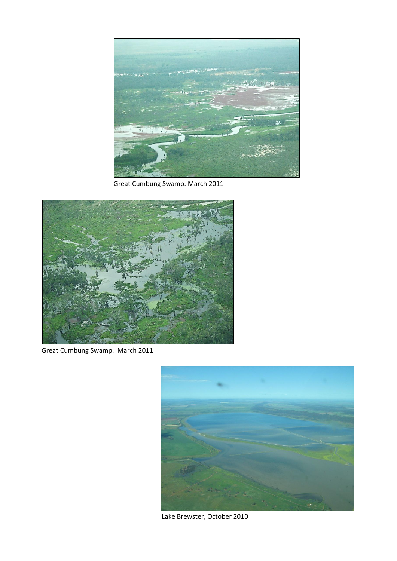

Great Cumbung Swamp. March 2011



Great Cumbung Swamp. March 2011



Lake Brewster, October 2010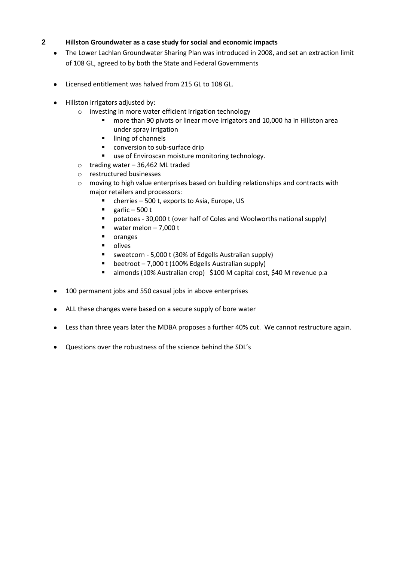#### **2 Hillston Groundwater as a case study for social and economic impacts**

- The Lower Lachlan Groundwater Sharing Plan was introduced in 2008, and set an extraction limit of 108 GL, agreed to by both the State and Federal Governments
- Licensed entitlement was halved from 215 GL to 108 GL.
- Hillston irrigators adjusted by:
	- o investing in more water efficient irrigation technology
		- **n** more than 90 pivots or linear move irrigators and 10,000 ha in Hillston area under spray irrigation
		- **I** lining of channels
		- conversion to sub-surface drip
		- use of Enviroscan moisture monitoring technology.
	- o trading water 36,462 ML traded
	- o restructured businesses
	- $\circ$  moving to high value enterprises based on building relationships and contracts with major retailers and processors:
		- cherries 500 t, exports to Asia, Europe, US
		- $\blacksquare$  garlic 500 t
		- potatoes 30,000 t (over half of Coles and Woolworths national supply)
		- water melon  $-7,000$  t
		- **n** oranges
		- $\blacksquare$  olives
		- sweetcorn 5,000 t (30% of Edgells Australian supply)
		- **beetroot 7,000 t (100% Edgells Australian supply)**
		- almonds (10% Australian crop) \$100 M capital cost, \$40 M revenue p.a
- 100 permanent jobs and 550 casual jobs in above enterprises
- ALL these changes were based on a secure supply of bore water
- Less than three years later the MDBA proposes a further 40% cut. We cannot restructure again.  $\bullet$
- Questions over the robustness of the science behind the SDL's